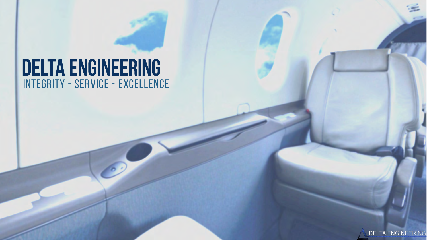# Integrity - Service - Excellence DELTA ENGINEERING

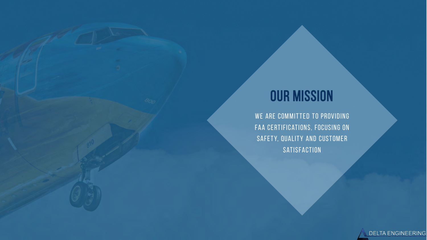# **OUR MISSION**

WE ARE COMMITTED TO PROVIDING FAA CERTIFICATIONS, FOCUSING ON SAFETY, QUALITY AND CUSTOMER SATISFACTION

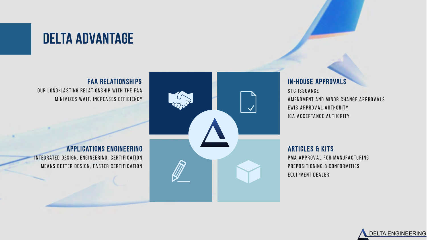# Delta Advantage

FAA Relationships OUR LONG-LASTING RELATIONSHIP WITH THE FAA MINIMIZES WAIT, INCREASES EFFICIENCY

Applications Engineering INTEGRATED DESIGN, ENGINEERING, CERTIFICATION MEANS BETTER DESIGN, FASTER CERTIFICATION



#### In-House Approvals

STC ISSUANCE A MENDMENT AND MINOR CHANGE APPROVALS EWIS APPROVAL AUTHORITY ICA ACCEPTANCE AUTHORITY

Articles & Kits PMA APPROVAL FOR MANUFACTURING PREPOSITIONING & CONFORMITIES EQUIPMENT DEALER

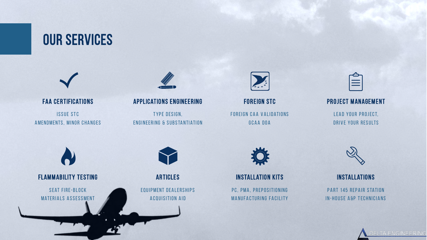# OUR SERVICES



#### FAA CERTIFICATIONS ISSUE STC A MENDMENTS, MINOR CHANGES



#### **APPLICATIONS ENGINEERING**

TYPE DESIGN, ENGINEERING & SUBSTANTIATION



Foreign STC FOREIGN CAA VALIDATIONS GCAA DOA



#### PROJECT MANAGEMENT

LEAD YOUR PROJECT, DRIVE YOUR RESULTS







#### **INSTALLATION KITS**

PC, PMA, PREPOSITIONING MANUFACTURING FACILITY



#### **INSTALLATIONS**

**PART 145 REPAIR STATION** IN-HOUSE A&P TECHNICIANS

ELTA ENGINEERING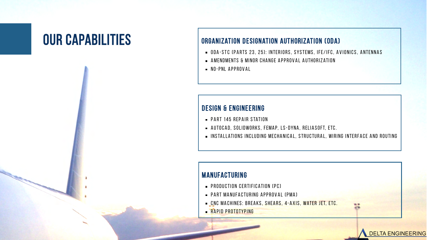

- ODA-STC (PARTS 23, 25): INTERIORS, SYSTEMS, IFE/IFC, AVIONICS, ANTENNAS
- $\blacksquare$  AMENDMENTS & MINOR CHANGE APPROVAL AUTHORIZATION
- $\blacksquare$  NO-PNL APPROVAL

#### Design & Engineering

- $\blacksquare$  PART 145 RFPAIR STATION
- AUTOCAD, SOLIDWORKS, FEMAP, LS-DYNA, RELIASOFT, ETC.
- **EXECTE ATI O STALLATIONS INCLUDING MECHANICAL, STRUCTURAL, WIRING INTERFACE AND ROUTING**

**DELTA ENGINEERING** 

#### Manufacturing

- $\blacksquare$  PRODUCTION CERTIFICATION (PC)
- $\blacksquare$  PART MANUFACTURING APPROVAL (PMA)
- **EX C M A CHINES: BREAKS, SHEARS, 4-AXIS, WATER JET, ETC.**
- **RAPID PROTOTYPING**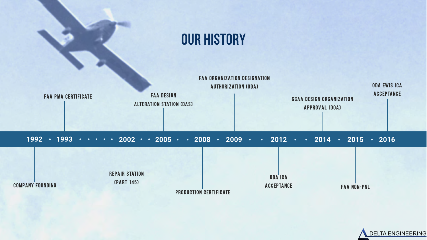

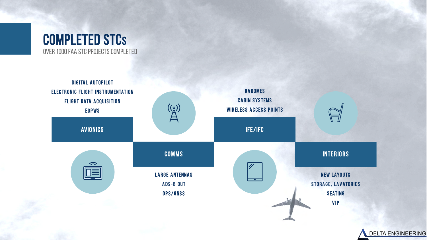

**DELTA ENGINEERING**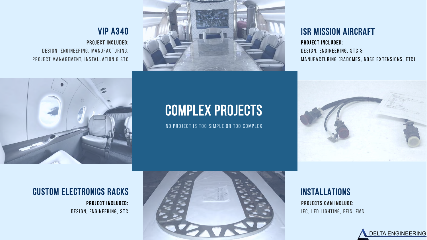# PROJECT INCLUDED: DESIGN, ENGINEERING, MANUFACTURING, PROJECT MANAGEMENT, INSTALLATION & STC VIP A340

#### ISR Mission Aircraft

PROJECT INCLUDED: DESIGN, ENGINEERING, STC & MANUFACTURING (RADOMES, NOSE EXTENSIONS, ETC)



# Complex Projects

NO PROJECT IS TOO SIMPLE OR TOO COMPLEX



#### PROJECT INCLUDED: DESIGN, ENGINEERING, STC Custom Electronics Racks



### **INSTALLATIONS**

**PROJECTS CAN INCLUDE:** IFC, LED LIGHTING, EFIS, FMS

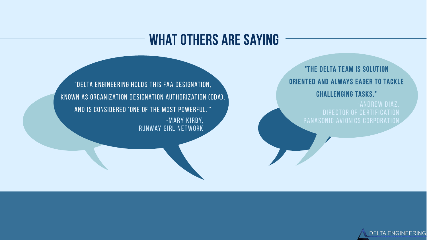# WHAT OTHERS ARE SAYING

"DELTA ENGINEERING HOLDS THIS FAA DESIGNATION, KNOWN AS ORGANIZATION DESIGNATION AUTHORIZATION (ODA), AND IS CONSIDERED 'ONE OF THE MOST POWERFUL.'" -MARY KIRBY, RUNWAY GIRL NETWORK

"The Delta team is solution oriented and always eager to tackle challenging tasks."

-ANDREW DIAZ. PANASONIC AVIONICS CORPORATION

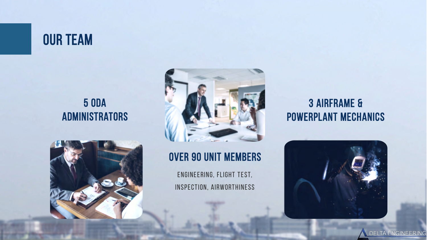# OUR TEAM

# 5 ODA **ADMINISTRATORS**





## Over 90 Unit Members

ENGINEERING, FLIGHT TEST, INSPECTION, AIRWORTHINESS

# 3 Airframe & Powerplant Mechanics



DELTA ENGINEERING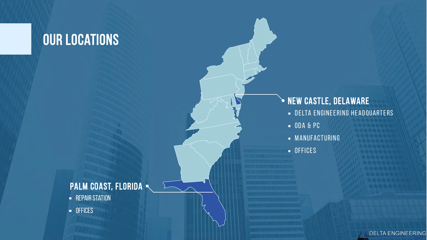# OUR LOCATIONS

# DELTA ENGINEERING HEADQUARTERS  $-$  ODA & PC  $-MANUFACTURING$ **NEW CASTLE, DELAWARE**

DELTA ENGINEERING

 $-$  OFFICES

#### PALM COAST, FLORIDA .

- **-** REPAIR STATION
- **DEFICES**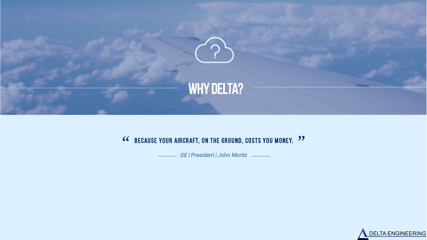

# **COMPRESS AND AIRCRAFT, ON THE GROUND, COSTS YOU MONEY.** <sup>99</sup><br>DE | President | John Moritz \_\_\_\_\_\_\_

*DE | President | John Moritz*